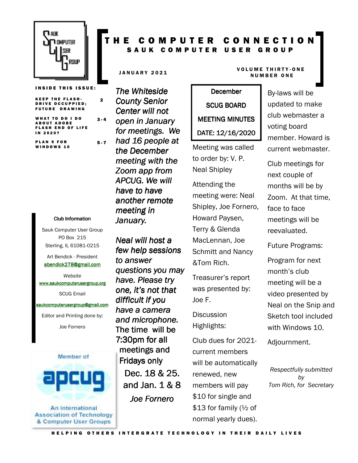

**INSIDE THIS ISSUE:** 

2

 $5 - 7$ 

KEEP THE FLASH-DRIVE OCCUPPIED; FUTURE DRAWING

WHAT TO DO I DO A BOUT ADOBE **FLASH END OF LIFE** IN 2020?  $3 - 4$ 

PLAN 9 FOR WINDOWS 10

#### Club Information Club Information

Sauk Computer User Group PO Box 215 Sterling, IL 61081-0215

Art Bendick - President abendick278@gmail.com

*Website*  www.saukcomputerusergroup.org

SCUG Email

#### saukcomputerusergroup@gmail.com

Editor and Printing done by: Joe Fornero



**Association of Technology** & Computer User Groups

#### T H E C O M P U T E R C O N N E C T I O N SAUK COMPUTER USER GROUP

*The Whiteside County Senior Center will not open in January for meetings. We had 16 people at the December meeting with the Zoom app from APCUG. We will have to have another remote meeting in January.* 

*Neal will host a few help sessions to answer questions you may have. Please try one, it's not that difficult if you have a camera and microphone.*  The time will be 7:30pm for all meetings and Fridays only Dec. 18 & 25. and Jan. 1 & 8 8 *Joe Fornero* 

# **December** SCUG BOARD MEETING MINUTES DATE: 12/16/2020

Meeting was called to order by: V. P. Neal Shipley

Attending the meeting were: Neal Shipley, Joe Fornero, Howard Paysen, Terry & Glenda MacLennan, Joe Schmitt and Nancy &Tom Rich.

Treasurer's report was presented by: Joe F.

**Discussion** Highlights:

Club dues for 2021 current members will be automatically renewed, new members will pay \$10 for single and \$13 for family (½ of normal yearly dues).

#### JANUARY 2021 VOLUME THIRTY-ONE **NUMBER ONE**

By-laws will be updated to make club webmaster a voting board member. Howard is current webmaster.

Club meetings for next couple of months will be by Zoom. At that time, face to face meetings will be reevaluated.

Future Programs:

Program for next month's club meeting will be a video presented by Neal on the Snip and Sketch tool included with Windows 10.

Adjournment.

*Respectfully submitted by Tom Rich, for Secretary*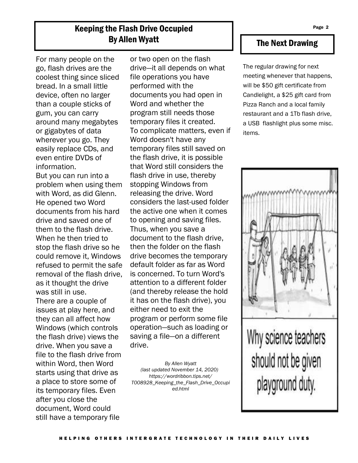## Keeping the Flash Drive Occupied By Allen Wyatt

For many people on the go, flash drives are the coolest thing since sliced bread. In a small little device, often no larger than a couple sticks of gum, you can carry around many megabytes or gigabytes of data wherever you go. They easily replace CDs, and even entire DVDs of information.

But you can run into a problem when using them with Word, as did Glenn. He opened two Word documents from his hard drive and saved one of them to the flash drive. When he then tried to stop the flash drive so he could remove it, Windows refused to permit the safe removal of the flash drive, as it thought the drive was still in use. There are a couple of issues at play here, and they can all affect how Windows (which controls the flash drive) views the drive. When you save a file to the flash drive from within Word, then Word starts using that drive as a place to store some of its temporary files. Even after you close the document, Word could still have a temporary file

or two open on the flash drive—it all depends on what file operations you have performed with the documents you had open in Word and whether the program still needs those temporary files it created. To complicate matters, even if Word doesn't have any temporary files still saved on the flash drive, it is possible that Word still considers the flash drive in use, thereby stopping Windows from releasing the drive. Word considers the last-used folder the active one when it comes to opening and saving files. Thus, when you save a document to the flash drive, then the folder on the flash drive becomes the temporary default folder as far as Word is concerned. To turn Word's attention to a different folder (and thereby release the hold it has on the flash drive), you either need to exit the program or perform some file operation—such as loading or saving a file—on a different drive.

*By Allen Wyatt (last updated November 14, 2020) https://wordribbon.tips.net/ T008928\_Keeping\_the\_Flash\_Drive\_Occupi ed.html* 

### The Next Drawing

The regular drawing for next meeting whenever that happens, will be \$50 gift certificate from Candlelight, a \$25 gift card from Pizza Ranch and a local family restaurant and a 1Tb flash drive, a USB flashlight plus some misc. items.



Why science teachers should not be given playground duty.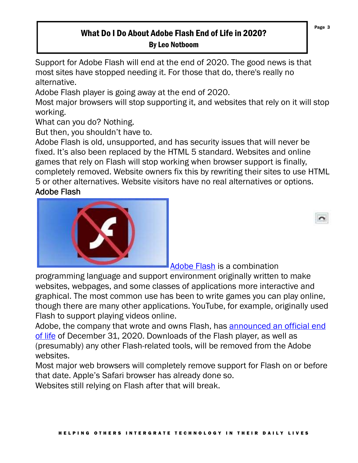## What Do I Do About Adobe Flash End of Life in 2020? By Leo Notboom

Support for Adobe Flash will end at the end of 2020. The good news is that most sites have stopped needing it. For those that do, there's really no alternative.

Adobe Flash player is going away at the end of 2020.

Most major browsers will stop supporting it, and websites that rely on it will stop working.

What can you do? Nothing.

But then, you shouldn't have to.

Adobe Flash is old, unsupported, and has security issues that will never be fixed. It's also been replaced by the HTML 5 standard. Websites and online games that rely on Flash will stop working when browser support is finally, completely removed. Website owners fix this by rewriting their sites to use HTML 5 or other alternatives. Website visitors have no real alternatives or options.

### **Adobe Flash**



Adobe Flash is a combination

programming language and support environment originally written to make websites, webpages, and some classes of applications more interactive and graphical. The most common use has been to write games you can play online, though there are many other applications. YouTube, for example, originally used Flash to support playing videos online.

Adobe, the company that wrote and owns Flash, has announced an official end of life of December 31, 2020. Downloads of the Flash player, as well as (presumably) any other Flash-related tools, will be removed from the Adobe websites.

Most major web browsers will completely remove support for Flash on or before that date. Apple's Safari browser has already done so.

Websites still relying on Flash after that will break.

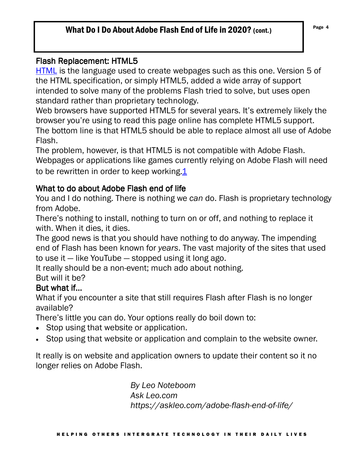## What Do I Do About Adobe Flash End of Life in 2020? (cont.)  $P_{\text{age 4}}$

### Flash Replacement: HTML5

HTML is the language used to create webpages such as this one. Version 5 of the HTML specification, or simply HTML5, added a wide array of support intended to solve many of the problems Flash tried to solve, but uses open standard rather than proprietary technology.

Web browsers have supported HTML5 for several years. It's extremely likely the browser you're using to read this page online has complete HTML5 support. The bottom line is that HTML5 should be able to replace almost all use of Adobe Flash.

The problem, however, is that HTML5 is not compatible with Adobe Flash. Webpages or applications like games currently relying on Adobe Flash will need to be rewritten in order to keep working.1

### What to do about Adobe Flash end of life

You and I do nothing. There is nothing we *can* do. Flash is proprietary technology from Adobe.

There's nothing to install, nothing to turn on or off, and nothing to replace it with. When it dies, it dies.

The good news is that you should have nothing to do anyway. The impending end of Flash has been known for *years*. The vast majority of the sites that used to use it — like YouTube — stopped using it long ago.

It really should be a non-event; much ado about nothing.

# But will it be?

#### But what if...

What if you encounter a site that still requires Flash after Flash is no longer available?

There's little you can do. Your options really do boil down to:

- Stop using that website or application.
- Stop using that website or application and complain to the website owner.

It really is on website and application owners to update their content so it no longer relies on Adobe Flash.

> *By Leo Noteboom Ask Leo.com https://askleo.com/adobe-flash-end-of-life/*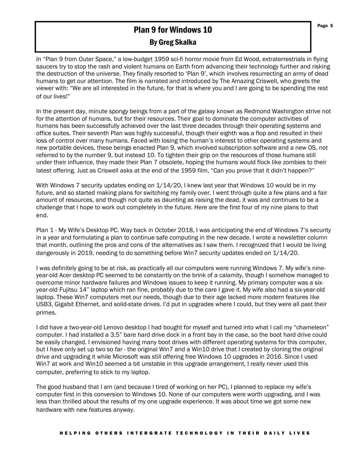# **Plan 9 for Windows 10** Page 5

#### By Greg Skalka

In "Plan 9 from Outer Space," a low-budget 1959 sci-fi horror movie from Ed Wood, extraterrestrials in flying saucers try to stop the rash and violent humans on Earth from advancing their technology further and risking the destruction of the universe. They finally resorted to 'Plan 9', which involves resurrecting an army of dead humans to get our attention. The film is narrated and introduced by The Amazing Criswell, who greets the viewer with: "We are all interested in the future, for that is where you and I are going to be spending the rest of our lives!"

In the present day, minute spongy beings from a part of the galaxy known as Redmond Washington strive not for the attention of humans, but for their resources. Their goal to dominate the computer activities of humans has been successfully achieved over the last three decades through their operating systems and office suites. Their seventh Plan was highly successful, though their eighth was a flop and resulted in their loss of control over many humans. Faced with losing the human's interest to other operating systems and new portable devices, these beings enacted Plan 9, which involved subscription software and a new OS, not referred to by the number 9, but instead 10. To tighten their grip on the resources of those humans still under their influence, they made their Plan 7 obsolete, hoping the humans would flock like zombies to their latest offering. Just as Criswell asks at the end of the 1959 film, "Can you prove that it didn't happen?"

With Windows 7 security updates ending on  $1/14/20$ , I knew last year that Windows 10 would be in my future, and so started making plans for switching my family over. I went through quite a few plans and a fair amount of resources, and though not quite as daunting as raising the dead, it was and continues to be a challenge that I hope to work out completely in the future. Here are the first four of my nine plans to that end.

Plan 1 - My Wife's Desktop PC. Way back in October 2018, I was anticipating the end of Windows 7's security in a year and formulating a plan to continue safe computing in the new decade. I wrote a newsletter column that month, outlining the pros and cons of the alternatives as I saw them. I recognized that I would be living dangerously in 2019, needing to do something before Win7 security updates ended on 1/14/20.

I was definitely going to be at risk, as practically all our computers were running Windows 7. My wife's nineyear-old Acer desktop PC seemed to be constantly on the brink of a calamity, though I somehow managed to overcome minor hardware failures and Windows issues to keep it running. My primary computer was a sixyear-old Fujitsu 14" laptop which ran fine, probably due to the care I gave it. My wife also had a six-year-old laptop. These Win7 computers met our needs, though due to their age lacked more modern features like USB3, Gigabit Ethernet, and solid-state drives. I'd put in upgrades where I could, but they were all past their primes.

I did have a two-year-old Lenovo desktop I had bought for myself and turned into what I call my "chameleon" computer. I had installed a 3.5" bare hard drive dock in a front bay in the case, so the boot hard drive could be easily changed. I envisioned having many boot drives with different operating systems for this computer, but I have only set up two so far - the original Win7 and a Win10 drive that I created by cloning the original drive and upgrading it while Microsoft was still offering free Windows 10 upgrades in 2016. Since I used Win7 at work and Win10 seemed a bit unstable in this upgrade arrangement, I really never used this computer, preferring to stick to my laptop.

The good husband that I am (and because I tired of working on her PC), I planned to replace my wife's computer first in this conversion to Windows 10. None of our computers were worth upgrading, and I was less than thrilled about the results of my one upgrade experience. It was about time we got some new hardware with new features anyway.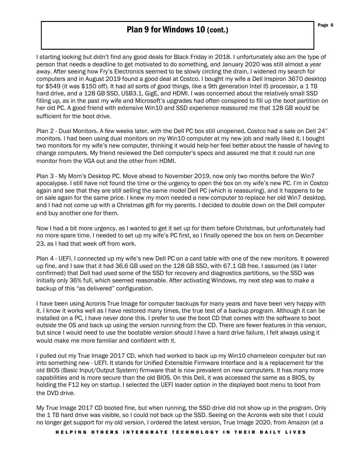#### Plan 9 for Windows 10 (cont.)

I starting looking but didn't find any good deals for Black Friday in 2018. I unfortunately also am the type of person that needs a deadline to get motivated to do something, and January 2020 was still almost a year away. After seeing how Fry's Electronics seemed to be slowly circling the drain, I widened my search for computers and in August 2019 found a good deal at Costco. I bought my wife a Dell Inspiron 3670 desktop for \$549 (it was \$150 off). It had all sorts of good things, like a 9th generation Intel I5 processor, a 1 TB hard drive, and a 128 GB SSD, USB3.1, GigE, and HDMI. I was concerned about the relatively small SSD filling up, as in the past my wife and Microsoft's upgrades had often conspired to fill up the boot partition on her old PC. A good friend with extensive Win10 and SSD experience reassured me that 128 GB would be sufficient for the boot drive.

Plan 2 - Dual Monitors. A few weeks later, with the Dell PC box still unopened, Costco had a sale on Dell 24" monitors. I had been using dual monitors on my Win10 computer at my new job and really liked it. I bought two monitors for my wife's new computer, thinking it would help her feel better about the hassle of having to change computers. My friend reviewed the Dell computer's specs and assured me that it could run one monitor from the VGA out and the other from HDMI.

Plan 3 - My Mom's Desktop PC. Move ahead to November 2019, now only two months before the Win7 apocalypse. I still have not found the time or the urgency to open the box on my wife's new PC. I'm in Costco again and see that they are still selling the same model Dell PC (which is reassuring), and it happens to be on sale again for the same price. I knew my mom needed a new computer to replace her old Win7 desktop, and I had not come up with a Christmas gift for my parents. I decided to double down on the Dell computer and buy another one for them.

Now I had a bit more urgency, as I wanted to get it set up for them before Christmas, but unfortunately had no more spare time. I needed to set up my wife's PC first, so I finally opened the box on hers on December 23, as I had that week off from work.

Plan 4 - UEFI. I connected up my wife's new Dell PC on a card table with one of the new monitors. It powered up fine, and I saw that it had 36.6 GB used on the 128 GB SSD, with 67.1 GB free. I assumed (as I later confirmed) that Dell had used some of the SSD for recovery and diagnostics partitions, so the SSD was initially only 36% full, which seemed reasonable. After activating Windows, my next step was to make a backup of this "as delivered" configuration.

I have been using Acronis True Image for computer backups for many years and have been very happy with it. I know it works well as I have restored many times, the true test of a backup program. Although it can be installed on a PC, I have never done this. I prefer to use the boot CD that comes with the software to boot outside the OS and back up using the version running from the CD. There are fewer features in this version, but since I would need to use the bootable version should I have a hard drive failure, I felt always using it would make me more familiar and confident with it.

I pulled out my True Image 2017 CD, which had worked to back up my Win10 chameleon computer but ran into something new - UEFI. It stands for Unified Extensible Firmware Interface and is a replacement for the old BIOS (Basic Input/Output System) firmware that is now prevalent on new computers. It has many more capabilities and is more secure than the old BIOS. On this Dell, it was accessed the same as a BIOS, by holding the F12 key on startup. I selected the UEFI loader option in the displayed boot menu to boot from the DVD drive.

My True Image 2017 CD booted fine, but when running, the SSD drive did not show up in the program. Only the 1 TB hard drive was visible, so I could not back up the SSD. Seeing on the Acronis web site that I could no longer get support for my old version, I ordered the latest version, True Image 2020, from Amazon (at a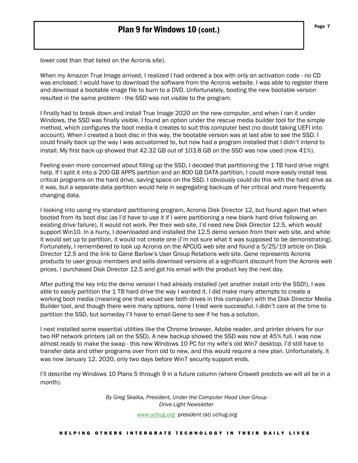lower cost than that listed on the Acronis site).

When my Amazon True Image arrived, I realized I had ordered a box with only an activation code - no CD was enclosed. I would have to download the software from the Acronis website. I was able to register there and download a bootable image file to burn to a DVD. Unfortunately, booting the new bootable version resulted in the same problem - the SSD was not visible to the program.

I finally had to break down and install True Image 2020 on the new computer, and when I ran it under Windows, the SSD was finally visible. I found an option under the rescue media builder tool for the simple method, which configures the boot media it creates to suit this computer best (no doubt taking UEFI into account). When I created a boot disc in this way, the bootable version was at last able to see the SSD. I could finally back up the way I was accustomed to, but now had a program installed that I didn't intend to install. My first back-up showed that 42.32 GB out of 103.8 GB on the SSD was now used (now 41%).

Feeling even more concerned about filling up the SSD, I decided that partitioning the 1 TB hard drive might help. If I split it into a 200 GB APPS partition and an 800 GB DATA partition, I could more easily install less critical programs on the hard drive, saving space on the SSD. I obviously could do this with the hard drive as it was, but a separate data partition would help in segregating backups of her critical and more frequently changing data.

I looking into using my standard partitioning program, Acronis Disk Director 12, but found again that when booted from its boot disc (as I'd have to use it if I were partitioning a new blank hard drive following an existing drive failure), it would not work. Per their web site, I'd need new Disk Director 12.5, which would support Win10. In a hurry, I downloaded and installed the 12.5 demo version from their web site, and while it would set up to partition, it would not create one (I'm not sure what it was supposed to be demonstrating). Fortunately, I remembered to look up Acronis on the APCUG web site and found a 5/25/19 article on Disk Director 12.5 and the link to Gene Barlow's User Group Relations web site. Gene represents Acronis products to user group members and sells download versions at a significant discount from the Acronis web prices. I purchased Disk Director 12.5 and got his email with the product key the next day.

After putting the key into the demo version I had already installed (yet another install into the SSD!), I was able to easily partition the 1 TB hard drive the way I wanted it. I did make many attempts to create a working boot media (meaning one that would see both drives in this computer) with the Disk Director Media Builder tool, and though there were many options, none I tried were successful. I didn't care at the time to partition the SSD, but someday I'll have to email Gene to see if he has a solution.

I next installed some essential utilities like the Chrome browser, Adobe reader, and printer drivers for our two HP network printers (all on the SSD). A new backup showed the SSD was now at 45% full. I was now almost ready to make the swap - this new Windows 10 PC for my wife's old Win7 desktop. I'd still have to transfer data and other programs over from old to new, and this would require a new plan. Unfortunately, it was now January 12, 2020, only two days before Win7 security support ends.

I'll describe my Windows 10 Plans 5 through 9 in a future column (where Criswell predicts we will all be in a month).

> *By Greg Skalka, President, Under the Computer Hood User Group Drive Light Newsletter*

> > *www.uchug.org president (at) uchug.org*